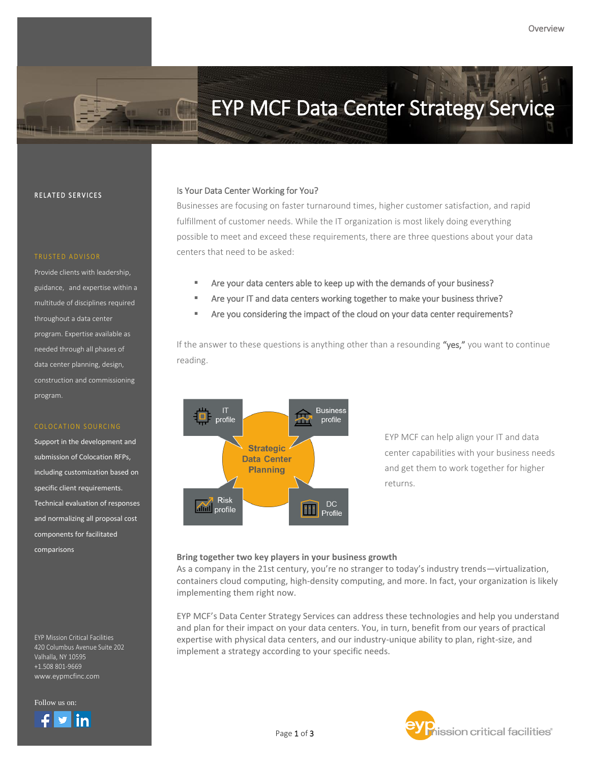# EYP MCF Data Center Strategy Service

### RELATED SERVICES

THE.

Provide clients with leadership, guidance, and expertise within a multitude of disciplines required throughout a data center program. Expertise available as needed through all phases of data center planning, design, construction and commissioning program.

### COLOCATION SOURCING

Support in the development and submission of Colocation RFPs, including customization based on specific client requirements. Technical evaluation of responses and normalizing all proposal cost components for facilitated comparisons

EYP Mission Critical Facilities 420 Columbus Avenue Suite 202 Valhalla, NY 10595 +1.508 801-9669 www.eypmcfinc.com

Follow us on:



### Is Your Data Center Working for You?

Businesses are focusing on faster turnaround times, higher customer satisfaction, and rapid fulfillment of customer needs. While the IT organization is most likely doing everything possible to meet and exceed these requirements, there are three questions about your data centers that need to be asked:

- Are your data centers able to keep up with the demands of your business?
- Are your IT and data centers working together to make your business thrive?
- Are you considering the impact of the cloud on your data center requirements?

If the answer to these questions is anything other than a resounding "yes," you want to continue reading.



EYP MCF can help align your IT and data center capabilities with your business needs and get them to work together for higher returns.

### **Bring together two key players in your business growth**

As a company in the 21st century, you're no stranger to today's industry trends—virtualization, containers cloud computing, high-density computing, and more. In fact, your organization is likely implementing them right now.

EYP MCF's Data Center Strategy Services can address these technologies and help you understand and plan for their impact on your data centers. You, in turn, benefit from our years of practical expertise with physical data centers, and our industry-unique ability to plan, right-size, and implement a strategy according to your specific needs.

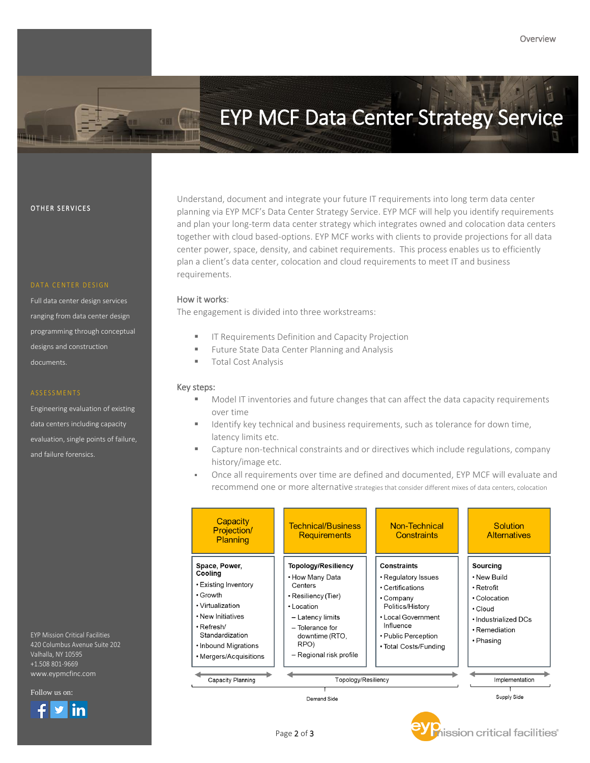# EYP MCF Data Center Strategy Service

Ź

### OTHER SERVICES

Full data center design services ranging from data center design programming through conceptual designs and construction documents.

Engineering evaluation of existing data centers including capacity evaluation, single points of failure, and failure forensics.

EYP Mission Critical Facilities 420 Columbus Avenue Suite 202 Valhalla, NY 10595 +1.508 801-9669 www.eypmcfinc.com

Follow us on:

in

Understand, document and integrate your future IT requirements into long term data center planning via EYP MCF's Data Center Strategy Service. EYP MCF will help you identify requirements and plan your long-term data center strategy which integrates owned and colocation data centers together with cloud based-options. EYP MCF works with clients to provide projections for all data center power, space, density, and cabinet requirements. This process enables us to efficiently plan a client's data center, colocation and cloud requirements to meet IT and business requirements.

### How it works:

The engagement is divided into three workstreams:

- IT Requirements Definition and Capacity Projection
- Future State Data Center Planning and Analysis

Page 2 of 3

**Total Cost Analysis** 

### Key steps:

- Model IT inventories and future changes that can affect the data capacity requirements over time
- Identify key technical and business requirements, such as tolerance for down time, latency limits etc.
- **EXEC** Capture non-technical constraints and or directives which include regulations, company history/image etc.
- Once all requirements over time are defined and documented, EYP MCF will evaluate and recommend one or more alternative strategies that consider different mixes of data centers, colocation